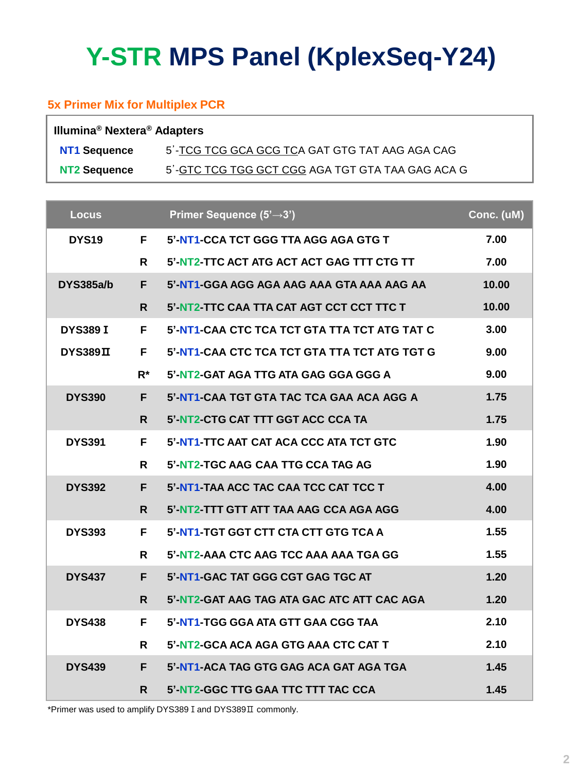# **Y-STR MPS Panel (KplexSeq-Y24)**

#### **5x Primer Mix for Multiplex PCR**

| Illumina <sup>®</sup> Nextera <sup>®</sup> Adapters |                                                  |  |  |  |
|-----------------------------------------------------|--------------------------------------------------|--|--|--|
| NT1 Sequence                                        | 5'-TCG TCG GCA GCG TCA GAT GTG TAT AAG AGA CAG   |  |  |  |
| NT2 Sequence                                        | 5'-GTC TCG TGG GCT CGG AGA TGT GTA TAA GAG ACA G |  |  |  |

| <b>Locus</b>     |              | Primer Sequence (5'→3')                      | Conc. (uM) |
|------------------|--------------|----------------------------------------------|------------|
| <b>DYS19</b>     | F.           | 5'-NT1-CCA TCT GGG TTA AGG AGA GTG T         | 7.00       |
|                  | R            | 5'-NT2-TTC ACT ATG ACT ACT GAG TTT CTG TT    | 7.00       |
| <b>DYS385a/b</b> | F.           | 5'-NT1-GGA AGG AGA AAG AAA GTA AAA AAG AA    | 10.00      |
|                  | $\mathsf{R}$ | 5'-NT2-TTC CAA TTA CAT AGT CCT CCT TTC T     | 10.00      |
| <b>DYS389 I</b>  | F.           | 5'-NT1-CAA CTC TCA TCT GTA TTA TCT ATG TAT C | 3.00       |
| DYS389II         | F.           | 5'-NT1-CAA CTC TCA TCT GTA TTA TCT ATG TGT G | 9.00       |
|                  | R*           | 5'-NT2-GAT AGA TTG ATA GAG GGA GGG A         | 9.00       |
| <b>DYS390</b>    | F.           | 5'-NT1-CAA TGT GTA TAC TCA GAA ACA AGG A     | 1.75       |
|                  | R.           | 5'-NT2-CTG CAT TTT GGT ACC CCA TA            | 1.75       |
| <b>DYS391</b>    | F.           | 5'-NT1-TTC AAT CAT ACA CCC ATA TCT GTC       | 1.90       |
|                  | R            | 5'-NT2-TGC AAG CAA TTG CCA TAG AG            | 1.90       |
| <b>DYS392</b>    | F.           | 5'-NT1-TAA ACC TAC CAA TCC CAT TCC T         | 4.00       |
|                  | R.           | 5'-NT2-TTT GTT ATT TAA AAG CCA AGA AGG       | 4.00       |
| <b>DYS393</b>    | F.           | 5'-NT1-TGT GGT CTT CTA CTT GTG TCA A         | 1.55       |
|                  | R.           | 5'-NT2-AAA CTC AAG TCC AAA AAA TGA GG        | 1.55       |
| <b>DYS437</b>    | F.           | 5'-NT1-GAC TAT GGG CGT GAG TGC AT            | 1.20       |
|                  | $\mathsf{R}$ | 5'-NT2-GAT AAG TAG ATA GAC ATC ATT CAC AGA   | 1.20       |
| <b>DYS438</b>    | F.           | 5'-NT1-TGG GGA ATA GTT GAA CGG TAA           | 2.10       |
|                  | R            | 5'-NT2-GCA ACA AGA GTG AAA CTC CAT T         | 2.10       |
| <b>DYS439</b>    | F.           | 5'-NT1-ACA TAG GTG GAG ACA GAT AGA TGA       | 1.45       |
|                  | R.           | 5'-NT2-GGC TTG GAA TTC TTT TAC CCA           | 1.45       |

\*Primer was used to amplify DYS389 I and DYS389 II commonly.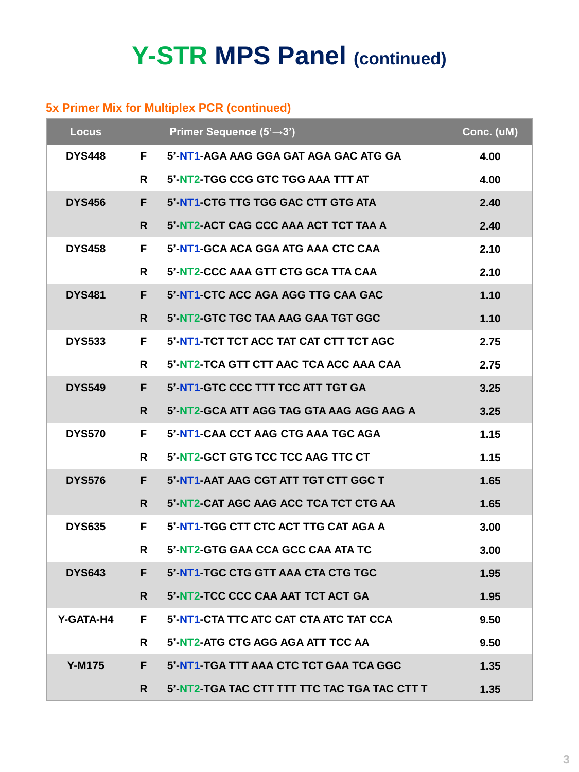## **Y-STR MPS Panel (continued)**

### **5x Primer Mix for Multiplex PCR (continued)**

| <b>Locus</b>  |    | Primer Sequence (5'-3')                      | Conc. (uM) |
|---------------|----|----------------------------------------------|------------|
| <b>DYS448</b> | F. | 5'-NT1-AGA AAG GGA GAT AGA GAC ATG GA        | 4.00       |
|               | R  | 5'-NT2-TGG CCG GTC TGG AAA TTT AT            | 4.00       |
| <b>DYS456</b> | F. | 5'-NT1-CTG TTG TGG GAC CTT GTG ATA           | 2.40       |
|               | R. | 5'-NT2-ACT CAG CCC AAA ACT TCT TAA A         | 2.40       |
| <b>DYS458</b> | F. | 5'-NT1-GCA ACA GGA ATG AAA CTC CAA           | 2.10       |
|               | R. | 5'-NT2-CCC AAA GTT CTG GCA TTA CAA           | 2.10       |
| <b>DYS481</b> | F. | 5'-NT1-CTC ACC AGA AGG TTG CAA GAC           | 1.10       |
|               | R. | 5'-NT2-GTC TGC TAA AAG GAA TGT GGC           | 1.10       |
| <b>DYS533</b> | F. | 5'-NT1-TCT TCT ACC TAT CAT CTT TCT AGC       | 2.75       |
|               | R. | 5'-NT2-TCA GTT CTT AAC TCA ACC AAA CAA       | 2.75       |
| <b>DYS549</b> | F. | 5'-NT1-GTC CCC TTT TCC ATT TGT GA            | 3.25       |
|               | R. | 5'-NT2-GCA ATT AGG TAG GTA AAG AGG AAG A     | 3.25       |
| <b>DYS570</b> | F. | 5'-NT1-CAA CCT AAG CTG AAA TGC AGA           | 1.15       |
|               | R. | 5'-NT2-GCT GTG TCC TCC AAG TTC CT            | 1.15       |
| <b>DYS576</b> | F. | 5'-NT1-AAT AAG CGT ATT TGT CTT GGC T         | 1.65       |
|               | R. | 5'-NT2-CAT AGC AAG ACC TCA TCT CTG AA        | 1.65       |
| <b>DYS635</b> | F. | 5'-NT1-TGG CTT CTC ACT TTG CAT AGA A         | 3.00       |
|               | R. | 5'-NT2-GTG GAA CCA GCC CAA ATA TC            | 3.00       |
| <b>DYS643</b> | F. | 5'-NT1-TGC CTG GTT AAA CTA CTG TGC           | 1.95       |
|               | R. | 5'-NT2-TCC CCC CAA AAT TCT ACT GA            | 1.95       |
| Y-GATA-H4     | F. | 5'-NT1-CTA TTC ATC CAT CTA ATC TAT CCA       | 9.50       |
|               | R. | 5'-NT2-ATG CTG AGG AGA ATT TCC AA            | 9.50       |
| <b>Y-M175</b> | F. | 5'-NT1-TGA TTT AAA CTC TCT GAA TCA GGC       | 1.35       |
|               | R. | 5'-NT2-TGA TAC CTT TTT TTC TAC TGA TAC CTT T | 1.35       |